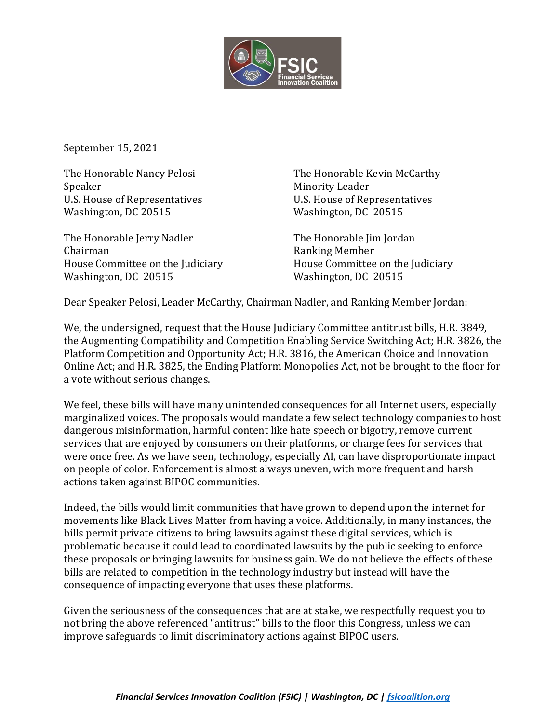

September 15, 2021

Speaker Minority Leader U.S. House of Representatives U.S. House of Representatives Washington, DC 20515 Washington, DC 20515

The Honorable Jerry Nadler The Honorable Jim Jordan Chairman **Ranking Member** House Committee on the Judiciary House Committee on the Judiciary Washington, DC 20515 Washington, DC 20515

The Honorable Nancy Pelosi The Honorable Kevin McCarthy

Dear Speaker Pelosi, Leader McCarthy, Chairman Nadler, and Ranking Member Jordan:

We, the undersigned, request that the House Judiciary Committee antitrust bills, H.R. 3849, the Augmenting Compatibility and Competition Enabling Service Switching Act; H.R. 3826, the Platform Competition and Opportunity Act; H.R. 3816, the American Choice and Innovation Online Act; and H.R. 3825, the Ending Platform Monopolies Act, not be brought to the floor for a vote without serious changes.

We feel, these bills will have many unintended consequences for all Internet users, especially marginalized voices. The proposals would mandate a few select technology companies to host dangerous misinformation, harmful content like hate speech or bigotry, remove current services that are enjoyed by consumers on their platforms, or charge fees for services that were once free. As we have seen, technology, especially AI, can have disproportionate impact on people of color. Enforcement is almost always uneven, with more frequent and harsh actions taken against BIPOC communities.

Indeed, the bills would limit communities that have grown to depend upon the internet for movements like Black Lives Matter from having a voice. Additionally, in many instances, the bills permit private citizens to bring lawsuits against these digital services, which is problematic because it could lead to coordinated lawsuits by the public seeking to enforce these proposals or bringing lawsuits for business gain. We do not believe the effects of these bills are related to competition in the technology industry but instead will have the consequence of impacting everyone that uses these platforms.

Given the seriousness of the consequences that are at stake, we respectfully request you to not bring the above referenced "antitrust" bills to the floor this Congress, unless we can improve safeguards to limit discriminatory actions against BIPOC users.